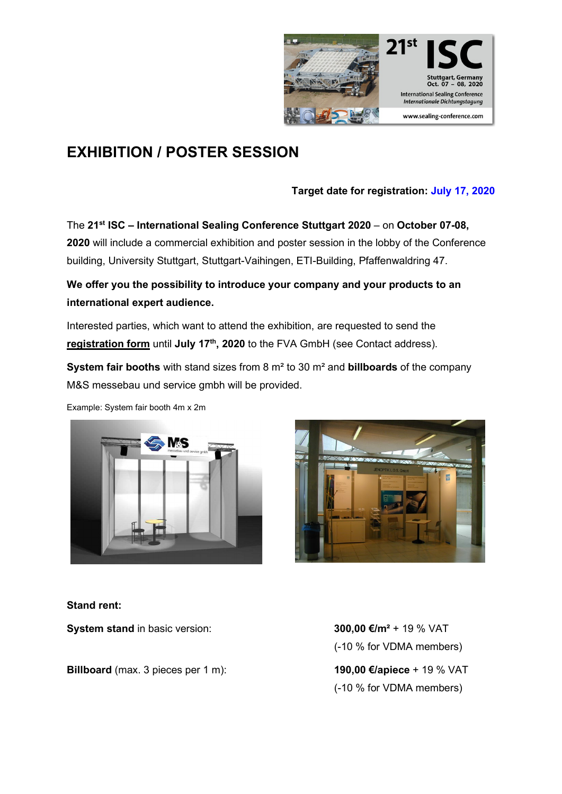

# **EXHIBITION / POSTER SESSION**

## **Target date for registration: July 17, 2020**

The **21st ISC – International Sealing Conference Stuttgart 2020** – on **October 07-08, 2020** will include a commercial exhibition and poster session in the lobby of the Conference building, University Stuttgart, Stuttgart-Vaihingen, ETI-Building, Pfaffenwaldring 47.

**We offer you the possibility to introduce your company and your products to an international expert audience.**

Interested parties, which want to attend the exhibition, are requested to send the **registration form** until July 17<sup>th</sup>, 2020 to the FVA GmbH (see Contact address).

**System fair booths** with stand sizes from 8 m² to 30 m² and **billboards** of the company M&S messebau und service gmbh will be provided.

Example: System fair booth 4m x 2m





### **Stand rent:**

**System stand** in basic version: **300,00 €/m<sup>2</sup> + 19 % VAT** 

**Billboard** (max. 3 pieces per 1 m): **190,00 €/apiece** + 19 % VAT

(-10 % for VDMA members) (-10 % for VDMA members)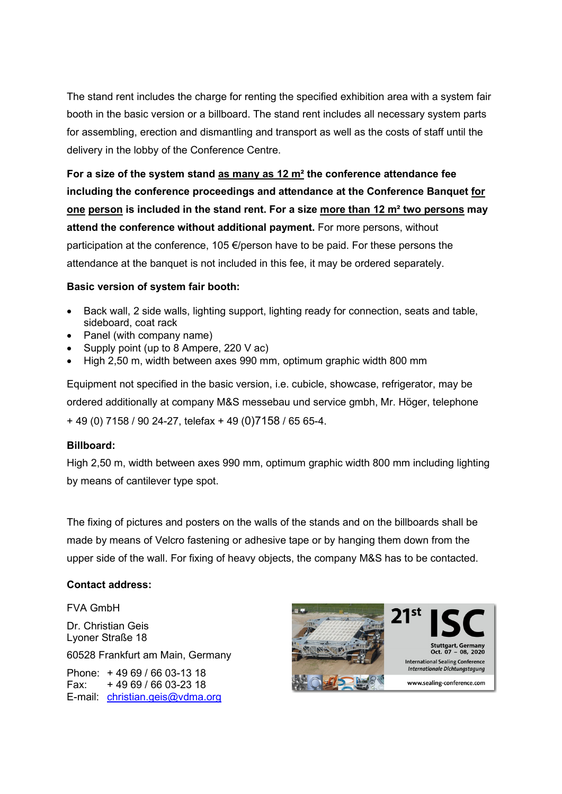The stand rent includes the charge for renting the specified exhibition area with a system fair booth in the basic version or a billboard. The stand rent includes all necessary system parts for assembling, erection and dismantling and transport as well as the costs of staff until the delivery in the lobby of the Conference Centre.

**For a size of the system stand as many as 12 m² the conference attendance fee including the conference proceedings and attendance at the Conference Banquet for one person is included in the stand rent. For a size more than 12 m² two persons may attend the conference without additional payment.** For more persons, without participation at the conference, 105 €/person have to be paid. For these persons the attendance at the banquet is not included in this fee, it may be ordered separately.

#### **Basic version of system fair booth:**

- Back wall, 2 side walls, lighting support, lighting ready for connection, seats and table, sideboard, coat rack
- Panel (with company name)
- Supply point (up to 8 Ampere, 220 V ac)
- High 2,50 m, width between axes 990 mm, optimum graphic width 800 mm

Equipment not specified in the basic version, i.e. cubicle, showcase, refrigerator, may be ordered additionally at company M&S messebau und service gmbh, Mr. Höger, telephone + 49 (0) 7158 / 90 24-27, telefax + 49 (0)7158 / 65 65-4.

#### **Billboard:**

High 2,50 m, width between axes 990 mm, optimum graphic width 800 mm including lighting by means of cantilever type spot.

The fixing of pictures and posters on the walls of the stands and on the billboards shall be made by means of Velcro fastening or adhesive tape or by hanging them down from the upper side of the wall. For fixing of heavy objects, the company M&S has to be contacted.

#### **Contact address:**

FVA GmbH

Dr. Christian Geis Lyoner Straße 18

60528 Frankfurt am Main, Germany

Phone: + 49 69 / 66 03-13 18 Fax: + 49 69 / 66 03-23 18 E-mail: [christian.geis@vdma.org](mailto:christian.geis@vdma.org)

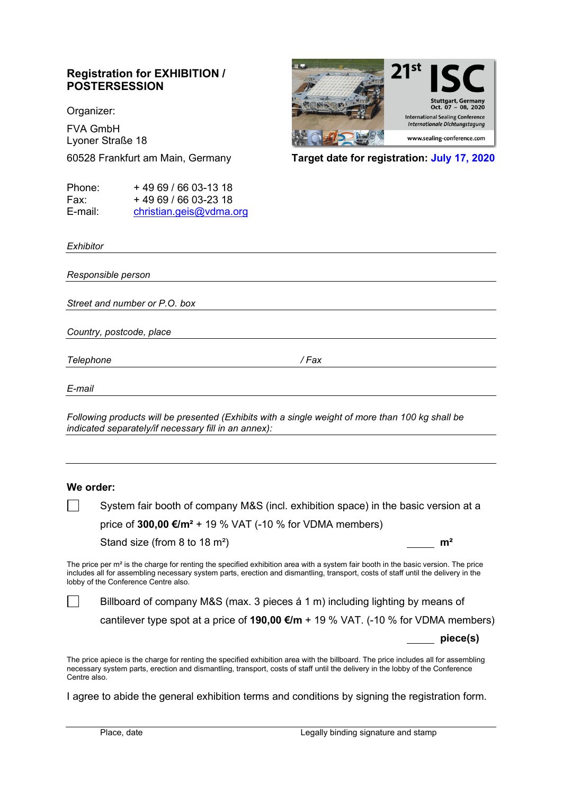## **Registration for EXHIBITION / POSTERSESSION**

Organizer:

FVA GmbH Lyoner Straße 18

| Phone:  | +4969/6603-1318         |
|---------|-------------------------|
| Fax:    | +49 69 / 66 03-23 18    |
| E-mail: | christian.geis@vdma.org |

 $Oct. 07 - 08. 2020$ **International Sealing Conference Internationale Dichtungstagung** www.sealing-conference.com

60528 Frankfurt am Main, Germany **Target date for registration: July 17, 2020**

*Exhibitor*

 $\Box$ 

*Responsible person Street and number or P.O. box Country, postcode, place Telephone / Fax E-mail Following products will be presented (Exhibits with a single weight of more than 100 kg shall be indicated separately/if necessary fill in an annex):* **We order:**

System fair booth of company M&S (incl. exhibition space) in the basic version at a price of **300,00 €/m²** + 19 % VAT (-10 % for VDMA members)

Stand size (from 8 to 18 m²) **m²**

The price per m<sup>2</sup> is the charge for renting the specified exhibition area with a system fair booth in the basic version. The price includes all for assembling necessary system parts, erection and dismantling, transport, costs of staff until the delivery in the lobby of the Conference Centre also.

Billboard of company M&S (max. 3 pieces á 1 m) including lighting by means of

cantilever type spot at a price of **190,00 €/m** + 19 % VAT. (-10 % for VDMA members)

**piece(s)**

The price apiece is the charge for renting the specified exhibition area with the billboard. The price includes all for assembling necessary system parts, erection and dismantling, transport, costs of staff until the delivery in the lobby of the Conference Centre also.

I agree to abide the general exhibition terms and conditions by signing the registration form.